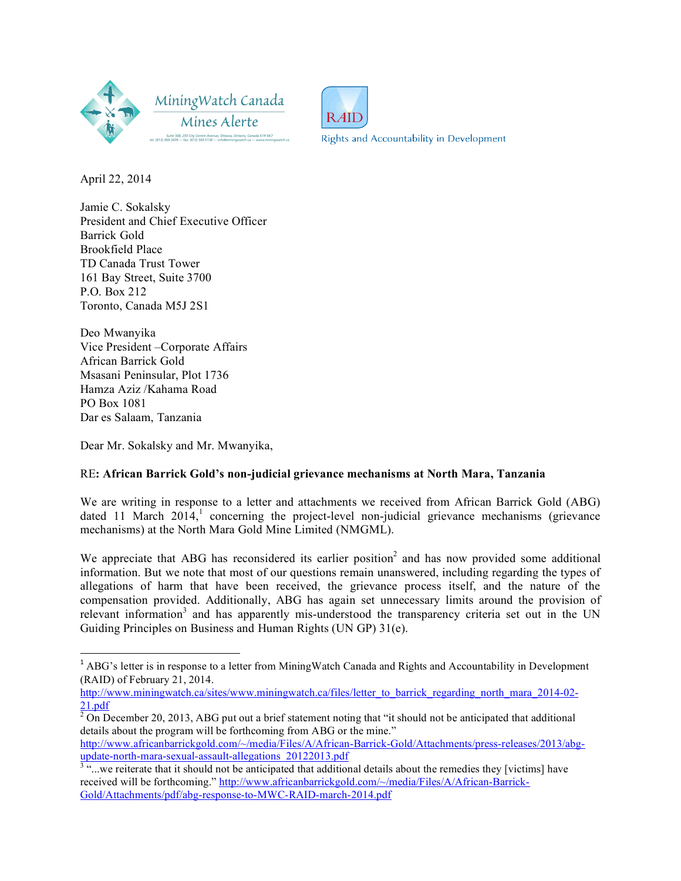



Rights and Accountability in Development

April 22, 2014

Jamie C. Sokalsky President and Chief Executive Officer Barrick Gold Brookfield Place TD Canada Trust Tower 161 Bay Street, Suite 3700 P.O. Box 212 Toronto, Canada M5J 2S1

Deo Mwanyika Vice President –Corporate Affairs African Barrick Gold Msasani Peninsular, Plot 1736 Hamza Aziz /Kahama Road PO Box 1081 Dar es Salaam, Tanzania

!!!!!!!!!!!!!!!!!!!!!!!!!!!!!!!!!!!!!!!!!!!!!!!!!!!!!!!!!!!!

Dear Mr. Sokalsky and Mr. Mwanyika,

# RE**: African Barrick Gold's non-judicial grievance mechanisms at North Mara, Tanzania**

We are writing in response to a letter and attachments we received from African Barrick Gold (ABG) dated 11 March 2014,<sup>1</sup> concerning the project-level non-judicial grievance mechanisms (grievance mechanisms) at the North Mara Gold Mine Limited (NMGML).

We appreciate that ABG has reconsidered its earlier position<sup>2</sup> and has now provided some additional information. But we note that most of our questions remain unanswered, including regarding the types of allegations of harm that have been received, the grievance process itself, and the nature of the compensation provided. Additionally, ABG has again set unnecessary limits around the provision of relevant information<sup>3</sup> and has apparently mis-understood the transparency criteria set out in the UN Guiding Principles on Business and Human Rights (UN GP) 31(e).

http://www.africanbarrickgold.com/~/media/Files/A/African-Barrick-Gold/Attachments/press-releases/2013/abg-<br>update-north-mara-sexual-assault-allegations 20122013.pdf

<sup>1</sup> ABG's letter is in response to a letter from MiningWatch Canada and Rights and Accountability in Development (RAID) of February 21, 2014.

http://www.miningwatch.ca/sites/www.miningwatch.ca/files/letter\_to\_barrick\_regarding\_north\_mara\_2014-02-21.pdf

 $2$  On December 20, 2013, ABG put out a brief statement noting that "it should not be anticipated that additional details about the program will be forthcoming from ABG or the mine."

 $\frac{3}{2}$  "...we reiterate that it should not be anticipated that additional details about the remedies they [victims] have received will be forthcoming." http://www.africanbarrickgold.com/~/media/Files/A/African-Barrick-Gold/Attachments/pdf/abg-response-to-MWC-RAID-march-2014.pdf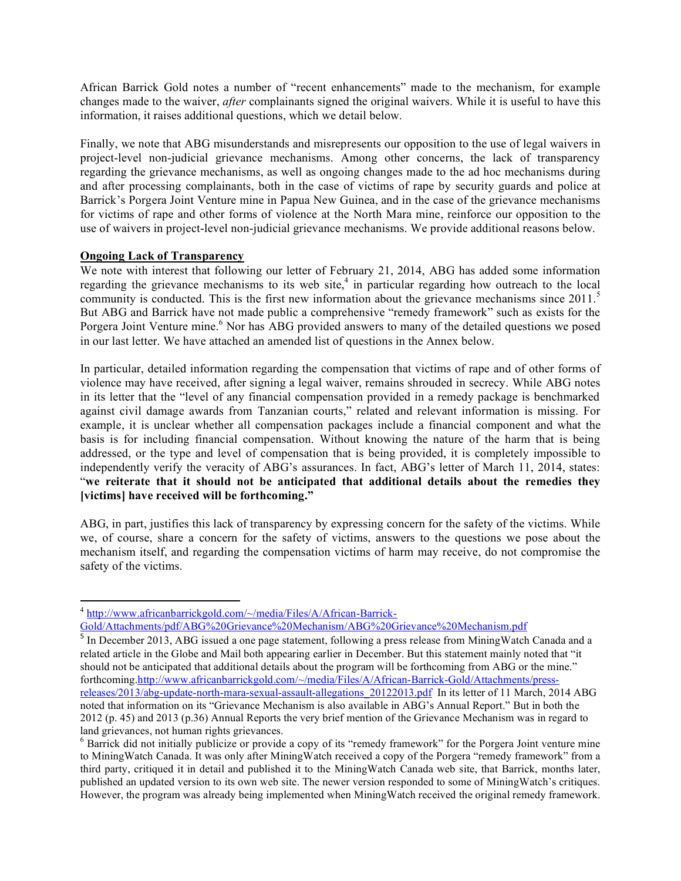African Barrick Gold notes a number of "recent enhancements" made to the mechanism, for example changes made to the waiver, *after* complainants signed the original waivers. While it is useful to have this information, it raises additional questions, which we detail below.

Finally, we note that ABG misunderstands and misrepresents our opposition to the use of legal waivers in project-level non-judicial grievance mechanisms. Among other concerns, the lack of transparency regarding the grievance mechanisms, as well as ongoing changes made to the ad hoc mechanisms during and after processing complainants, both in the case of victims of rape by security guards and police at Barrick's Porgera Joint Venture mine in Papua New Guinea, and in the case of the grievance mechanisms for victims of rape and other forms of violence at the North Mara mine, reinforce our opposition to the use of waivers in project-level non-judicial grievance mechanisms. We provide additional reasons below.

#### **Ongoing Lack of Transparency**

!!!!!!!!!!!!!!!!!!!!!!!!!!!!!!!!!!!!!!!!!!!!!!!!!!!!!!!!!!!!

We note with interest that following our letter of February 21, 2014, ABG has added some information regarding the grievance mechanisms to its web site,<sup>4</sup> in particular regarding how outreach to the local community is conducted. This is the first new information about the grievance mechanisms since 2011.<sup>5</sup> But ABG and Barrick have not made public a comprehensive "remedy framework" such as exists for the Porgera Joint Venture mine.<sup>6</sup> Nor has ABG provided answers to many of the detailed questions we posed in our last letter. We have attached an amended list of questions in the Annex below.

In particular, detailed information regarding the compensation that victims of rape and of other forms of violence may have received, after signing a legal waiver, remains shrouded in secrecy. While ABG notes in its letter that the "level of any financial compensation provided in a remedy package is benchmarked against civil damage awards from Tanzanian courts," related and relevant information is missing. For example, it is unclear whether all compensation packages include a financial component and what the basis is for including financial compensation. Without knowing the nature of the harm that is being addressed, or the type and level of compensation that is being provided, it is completely impossible to independently verify the veracity of ABG's assurances. In fact, ABG's letter of March 11, 2014, states: "**we reiterate that it should not be anticipated that additional details about the remedies they [victims] have received will be forthcoming."** 

ABG, in part, justifies this lack of transparency by expressing concern for the safety of the victims. While we, of course, share a concern for the safety of victims, answers to the questions we pose about the mechanism itself, and regarding the compensation victims of harm may receive, do not compromise the safety of the victims.

<sup>4</sup> http://www.africanbarrickgold.com/~/media/Files/A/African-Barrick-

Gold/Attachments/pdf/ABG%20Grievance%20Mechanism/ABG%20Grievance%20Mechanism.pdf

<sup>&</sup>lt;sup>5</sup> In December 2013, ABG issued a one page statement, following a press release from MiningWatch Canada and a related article in the Globe and Mail both appearing earlier in December. But this statement mainly noted that "it should not be anticipated that additional details about the program will be forthcoming from ABG or the mine." forthcoming.http://www.africanbarrickgold.com/~/media/Files/A/African-Barrick-Gold/Attachments/pressreleases/2013/abg-update-north-mara-sexual-assault-allegations\_20122013.pdf In its letter of 11 March, 2014 ABG noted that information on its "Grievance Mechanism is also available in ABG's Annual Report." But in both the 2012 (p. 45) and 2013 (p.36) Annual Reports the very brief mention of the Grievance Mechanism was in regard to land grievances, not human rights grievances.

<sup>&</sup>lt;sup>6</sup> Barrick did not initially publicize or provide a copy of its "remedy framework" for the Porgera Joint venture mine to MiningWatch Canada. It was only after MiningWatch received a copy of the Porgera "remedy framework" from a third party, critiqued it in detail and published it to the MiningWatch Canada web site, that Barrick, months later, published an updated version to its own web site. The newer version responded to some of MiningWatch's critiques. However, the program was already being implemented when MiningWatch received the original remedy framework.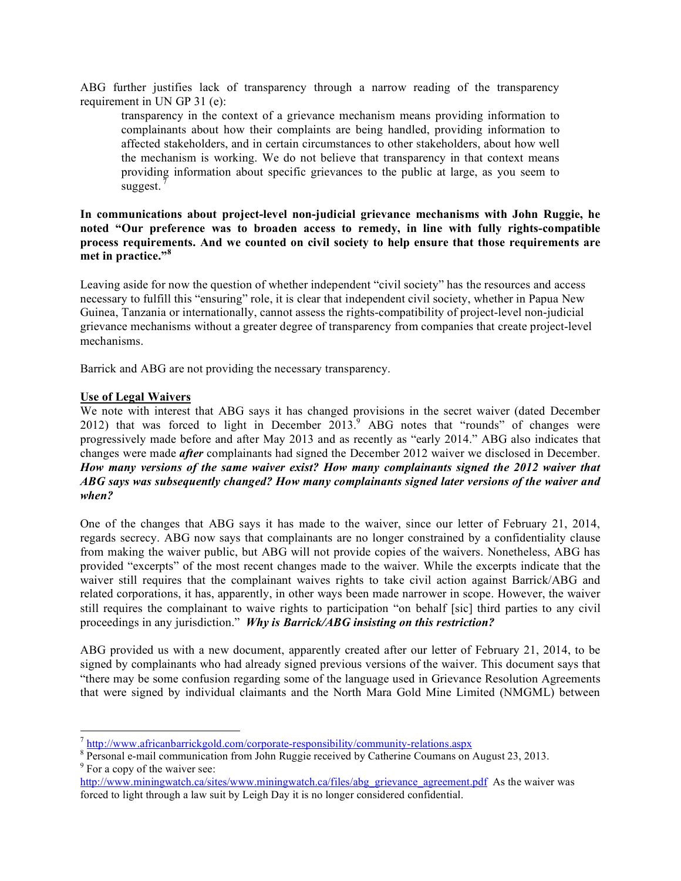ABG further justifies lack of transparency through a narrow reading of the transparency requirement in UN GP 31 (e):

transparency in the context of a grievance mechanism means providing information to complainants about how their complaints are being handled, providing information to affected stakeholders, and in certain circumstances to other stakeholders, about how well the mechanism is working. We do not believe that transparency in that context means providing information about specific grievances to the public at large, as you seem to suggest.

## **In communications about project-level non-judicial grievance mechanisms with John Ruggie, he noted "Our preference was to broaden access to remedy, in line with fully rights-compatible process requirements. And we counted on civil society to help ensure that those requirements are met in practice."<sup>8</sup>**

Leaving aside for now the question of whether independent "civil society" has the resources and access necessary to fulfill this "ensuring" role, it is clear that independent civil society, whether in Papua New Guinea, Tanzania or internationally, cannot assess the rights-compatibility of project-level non-judicial grievance mechanisms without a greater degree of transparency from companies that create project-level mechanisms.

Barrick and ABG are not providing the necessary transparency.

#### **Use of Legal Waivers**

!!!!!!!!!!!!!!!!!!!!!!!!!!!!!!!!!!!!!!!!!!!!!!!!!!!!!!!!!!!!

We note with interest that ABG says it has changed provisions in the secret waiver (dated December 2012) that was forced to light in December  $2013$ <sup>9</sup> ABG notes that "rounds" of changes were progressively made before and after May 2013 and as recently as "early 2014." ABG also indicates that changes were made *after* complainants had signed the December 2012 waiver we disclosed in December. *How many versions of the same waiver exist? How many complainants signed the 2012 waiver that ABG says was subsequently changed? How many complainants signed later versions of the waiver and when?* 

One of the changes that ABG says it has made to the waiver, since our letter of February 21, 2014, regards secrecy. ABG now says that complainants are no longer constrained by a confidentiality clause from making the waiver public, but ABG will not provide copies of the waivers. Nonetheless, ABG has provided "excerpts" of the most recent changes made to the waiver. While the excerpts indicate that the waiver still requires that the complainant waives rights to take civil action against Barrick/ABG and related corporations, it has, apparently, in other ways been made narrower in scope. However, the waiver still requires the complainant to waive rights to participation "on behalf [sic] third parties to any civil proceedings in any jurisdiction." *Why is Barrick/ABG insisting on this restriction?* 

ABG provided us with a new document, apparently created after our letter of February 21, 2014, to be signed by complainants who had already signed previous versions of the waiver. This document says that "there may be some confusion regarding some of the language used in Grievance Resolution Agreements that were signed by individual claimants and the North Mara Gold Mine Limited (NMGML) between

 $^7$  http://www.africanbarrickgold.com/corporate-responsibility/community-relations.aspx

<sup>&</sup>lt;sup>8</sup> Personal e-mail communication from John Ruggie received by Catherine Coumans on August 23, 2013.  $9^9$  For a copy of the waiver see:

http://www.miningwatch.ca/sites/www.miningwatch.ca/files/abg\_grievance\_agreement.pdf As the waiver was forced to light through a law suit by Leigh Day it is no longer considered confidential.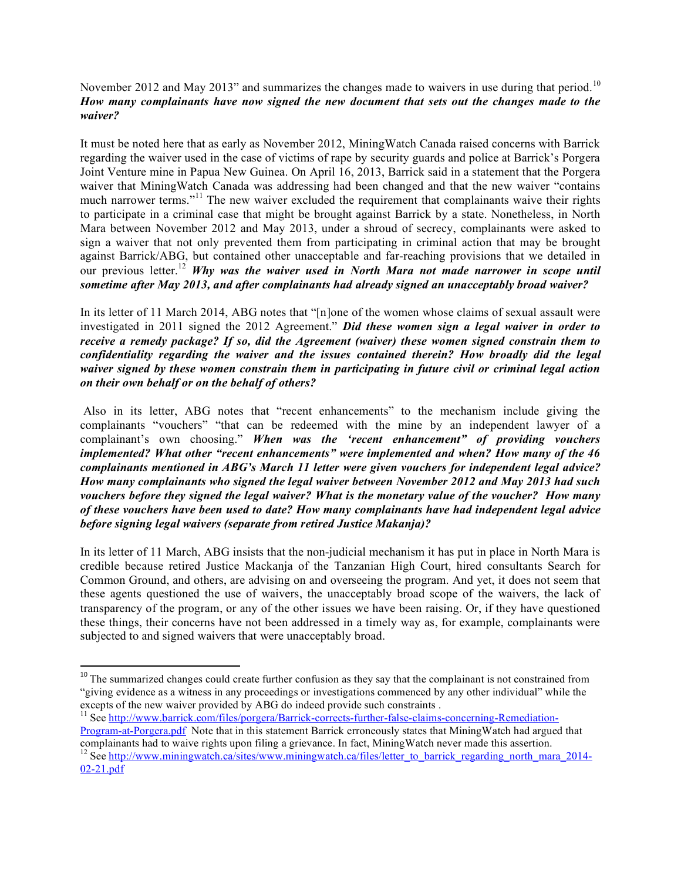## November 2012 and May 2013" and summarizes the changes made to waivers in use during that period.<sup>10</sup> *How many complainants have now signed the new document that sets out the changes made to the waiver?*

It must be noted here that as early as November 2012, MiningWatch Canada raised concerns with Barrick regarding the waiver used in the case of victims of rape by security guards and police at Barrick's Porgera Joint Venture mine in Papua New Guinea. On April 16, 2013, Barrick said in a statement that the Porgera waiver that MiningWatch Canada was addressing had been changed and that the new waiver "contains much narrower terms."<sup>11</sup> The new waiver excluded the requirement that complainants waive their rights to participate in a criminal case that might be brought against Barrick by a state. Nonetheless, in North Mara between November 2012 and May 2013, under a shroud of secrecy, complainants were asked to sign a waiver that not only prevented them from participating in criminal action that may be brought against Barrick/ABG, but contained other unacceptable and far-reaching provisions that we detailed in our previous letter.<sup>12</sup> *Why was the waiver used in North Mara not made narrower in scope until sometime after May 2013, and after complainants had already signed an unacceptably broad waiver?* 

In its letter of 11 March 2014, ABG notes that "[n]one of the women whose claims of sexual assault were investigated in 2011 signed the 2012 Agreement." *Did these women sign a legal waiver in order to receive a remedy package? If so, did the Agreement (waiver) these women signed constrain them to confidentiality regarding the waiver and the issues contained therein? How broadly did the legal waiver signed by these women constrain them in participating in future civil or criminal legal action on their own behalf or on the behalf of others?*

 Also in its letter, ABG notes that "recent enhancements" to the mechanism include giving the complainants "vouchers" "that can be redeemed with the mine by an independent lawyer of a complainant's own choosing." *When was the 'recent enhancement" of providing vouchers implemented? What other "recent enhancements" were implemented and when? How many of the 46 complainants mentioned in ABG's March 11 letter were given vouchers for independent legal advice? How many complainants who signed the legal waiver between November 2012 and May 2013 had such vouchers before they signed the legal waiver? What is the monetary value of the voucher? How many of these vouchers have been used to date? How many complainants have had independent legal advice before signing legal waivers (separate from retired Justice Makanja)?* 

In its letter of 11 March, ABG insists that the non-judicial mechanism it has put in place in North Mara is credible because retired Justice Mackanja of the Tanzanian High Court, hired consultants Search for Common Ground, and others, are advising on and overseeing the program. And yet, it does not seem that these agents questioned the use of waivers, the unacceptably broad scope of the waivers, the lack of transparency of the program, or any of the other issues we have been raising. Or, if they have questioned these things, their concerns have not been addressed in a timely way as, for example, complainants were subjected to and signed waivers that were unacceptably broad.

!!!!!!!!!!!!!!!!!!!!!!!!!!!!!!!!!!!!!!!!!!!!!!!!!!!!!!!!!!!!

<sup>&</sup>lt;sup>10</sup> The summarized changes could create further confusion as they say that the complainant is not constrained from "giving evidence as a witness in any proceedings or investigations commenced by any other individual" while the excepts of the new waiver provided by ABG do indeed provide such constraints .

<sup>&</sup>lt;sup>11</sup> See http://www.barrick.com/files/porgera/Barrick-corrects-further-false-claims-concerning-Remediation-Program-at-Porgera.pdf Note that in this statement Barrick erroneously states that MiningWatch had argued that complainants had to waive rights upon filing a grievance. In fact, MiningWatch never made this assertion.<br><sup>12</sup> See <u>http://www.miningwatch.ca/sites/www.miningwatch.ca/files/letter\_to\_barrick\_regarding\_north\_mara\_2014-</u> 02-21.pdf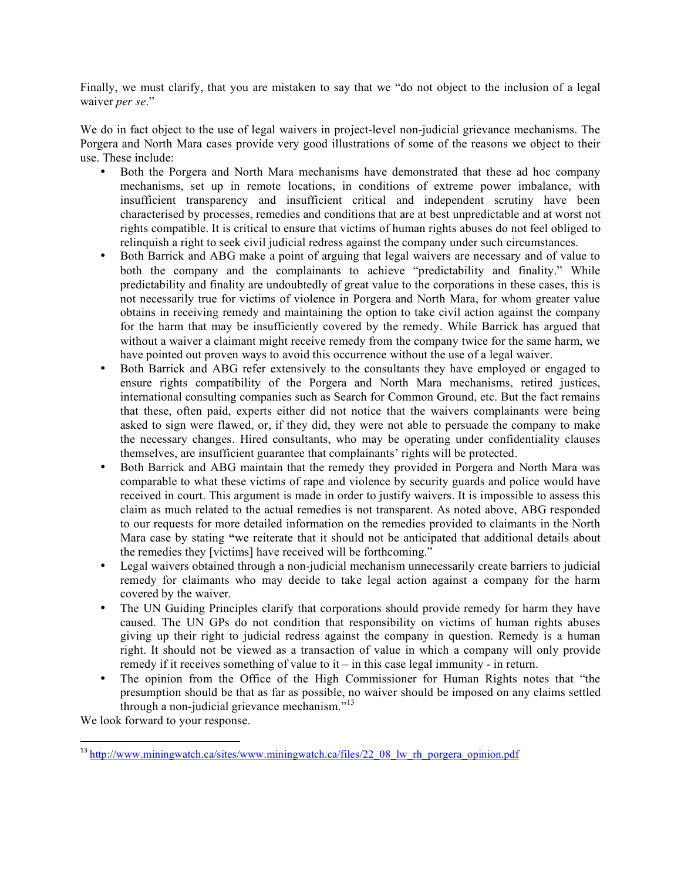Finally, we must clarify, that you are mistaken to say that we "do not object to the inclusion of a legal waiver *per se*."

We do in fact object to the use of legal waivers in project-level non-judicial grievance mechanisms. The Porgera and North Mara cases provide very good illustrations of some of the reasons we object to their use. These include:

- Both the Porgera and North Mara mechanisms have demonstrated that these ad hoc company mechanisms, set up in remote locations, in conditions of extreme power imbalance, with insufficient transparency and insufficient critical and independent scrutiny have been characterised by processes, remedies and conditions that are at best unpredictable and at worst not rights compatible. It is critical to ensure that victims of human rights abuses do not feel obliged to relinquish a right to seek civil judicial redress against the company under such circumstances.
- Both Barrick and ABG make a point of arguing that legal waivers are necessary and of value to both the company and the complainants to achieve "predictability and finality." While predictability and finality are undoubtedly of great value to the corporations in these cases, this is not necessarily true for victims of violence in Porgera and North Mara, for whom greater value obtains in receiving remedy and maintaining the option to take civil action against the company for the harm that may be insufficiently covered by the remedy. While Barrick has argued that without a waiver a claimant might receive remedy from the company twice for the same harm, we have pointed out proven ways to avoid this occurrence without the use of a legal waiver.
- Both Barrick and ABG refer extensively to the consultants they have employed or engaged to ensure rights compatibility of the Porgera and North Mara mechanisms, retired justices, international consulting companies such as Search for Common Ground, etc. But the fact remains that these, often paid, experts either did not notice that the waivers complainants were being asked to sign were flawed, or, if they did, they were not able to persuade the company to make the necessary changes. Hired consultants, who may be operating under confidentiality clauses themselves, are insufficient guarantee that complainants' rights will be protected.
- Both Barrick and ABG maintain that the remedy they provided in Porgera and North Mara was comparable to what these victims of rape and violence by security guards and police would have received in court. This argument is made in order to justify waivers. It is impossible to assess this claim as much related to the actual remedies is not transparent. As noted above, ABG responded to our requests for more detailed information on the remedies provided to claimants in the North Mara case by stating **"**we reiterate that it should not be anticipated that additional details about the remedies they [victims] have received will be forthcoming."
- Legal waivers obtained through a non-judicial mechanism unnecessarily create barriers to judicial remedy for claimants who may decide to take legal action against a company for the harm covered by the waiver.
- The UN Guiding Principles clarify that corporations should provide remedy for harm they have caused. The UN GPs do not condition that responsibility on victims of human rights abuses giving up their right to judicial redress against the company in question. Remedy is a human right. It should not be viewed as a transaction of value in which a company will only provide remedy if it receives something of value to it – in this case legal immunity - in return.
- The opinion from the Office of the High Commissioner for Human Rights notes that "the presumption should be that as far as possible, no waiver should be imposed on any claims settled through a non-judicial grievance mechanism. $13$

We look forward to your response.

!!!!!!!!!!!!!!!!!!!!!!!!!!!!!!!!!!!!!!!!!!!!!!!!!!!!!!!!!!!!

<sup>&</sup>lt;sup>13</sup> http://www.miningwatch.ca/sites/www.miningwatch.ca/files/22\_08\_lw\_rh\_porgera\_opinion.pdf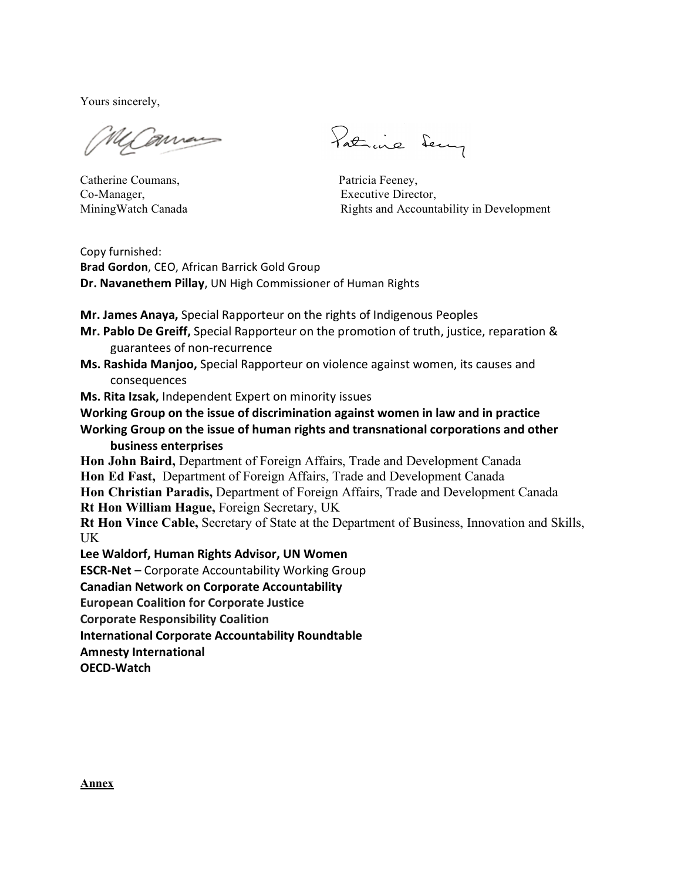Yours sincerely,

Gaman

Catherine Coumans, Patricia Feeney, Co-Manager, Executive Director,

Patrice Sery

MiningWatch Canada Rights and Accountability in Development

Copy furnished: **Brad Gordon**, CEO, African Barrick Gold Group **Dr. Navanethem Pillay**, UN High Commissioner of Human Rights

**Mr. James Anaya, Special Rapporteur on the rights of Indigenous Peoples** 

- **Mr. Pablo De Greiff,** Special Rapporteur on the promotion of truth, justice, reparation & guarantees of non-recurrence
- **Ms. Rashida Manjoo,** Special Rapporteur on violence against women, its causes and consequences

**Ms. Rita Izsak, Independent Expert on minority issues** 

Working Group on the issue of discrimination against women in law and in practice

Working Group on the issue of human rights and transnational corporations and other **business%enterprises**

**Hon John Baird,** Department of Foreign Affairs, Trade and Development Canada **Hon Ed Fast,** Department of Foreign Affairs, Trade and Development Canada **Hon Christian Paradis,** Department of Foreign Affairs, Trade and Development Canada

**Rt Hon William Hague,** Foreign Secretary, UK

**Rt Hon Vince Cable,** Secretary of State at the Department of Business, Innovation and Skills, UK

Lee Waldorf, Human Rights Advisor, UN Women

**ESCR-Net** – Corporate Accountability Working Group

**Canadian Network on Corporate Accountability** 

**European Coalition for Corporate Justice** 

**Corporate Responsibility Coalition** 

**International Corporate Accountability Roundtable** 

**Amnesty International** 

**OECD-Watch**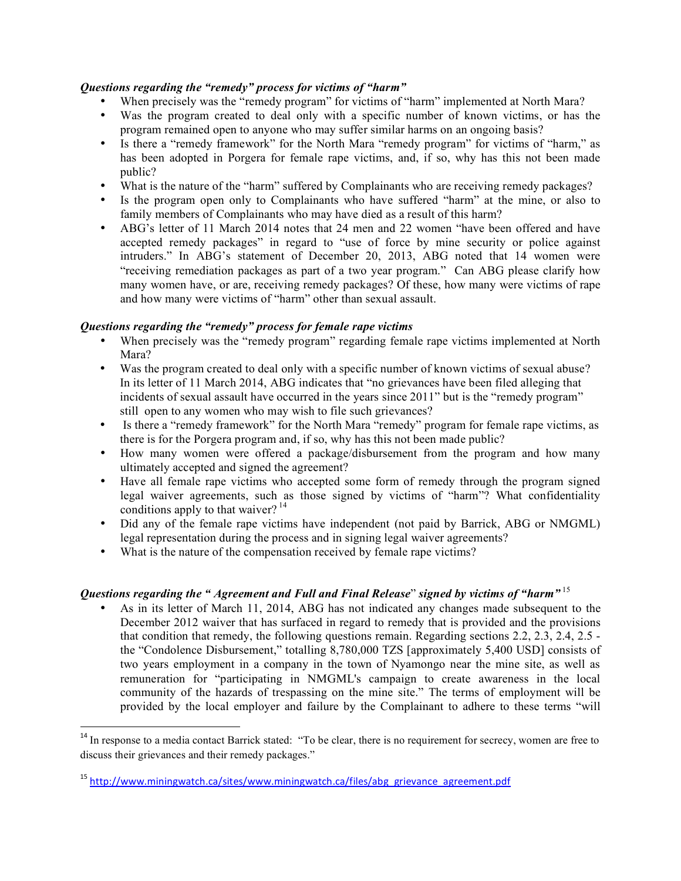#### *Questions regarding the "remedy" process for victims of "harm"*

- When precisely was the "remedy program" for victims of "harm" implemented at North Mara?
- Was the program created to deal only with a specific number of known victims, or has the program remained open to anyone who may suffer similar harms on an ongoing basis?
- Is there a "remedy framework" for the North Mara "remedy program" for victims of "harm," as has been adopted in Porgera for female rape victims, and, if so, why has this not been made public?
- What is the nature of the "harm" suffered by Complainants who are receiving remedy packages?
- Is the program open only to Complainants who have suffered "harm" at the mine, or also to family members of Complainants who may have died as a result of this harm?
- ABG's letter of 11 March 2014 notes that 24 men and 22 women "have been offered and have accepted remedy packages" in regard to "use of force by mine security or police against intruders." In ABG's statement of December 20, 2013, ABG noted that 14 women were "receiving remediation packages as part of a two year program." Can ABG please clarify how many women have, or are, receiving remedy packages? Of these, how many were victims of rape and how many were victims of "harm" other than sexual assault.

## *Questions regarding the "remedy" process for female rape victims*

- When precisely was the "remedy program" regarding female rape victims implemented at North Mara?
- Was the program created to deal only with a specific number of known victims of sexual abuse? In its letter of 11 March 2014, ABG indicates that "no grievances have been filed alleging that incidents of sexual assault have occurred in the years since 2011" but is the "remedy program" still open to any women who may wish to file such grievances?
- Is there a "remedy framework" for the North Mara "remedy" program for female rape victims, as there is for the Porgera program and, if so, why has this not been made public?
- How many women were offered a package/disbursement from the program and how many ultimately accepted and signed the agreement?
- Have all female rape victims who accepted some form of remedy through the program signed legal waiver agreements, such as those signed by victims of "harm"? What confidentiality conditions apply to that waiver?  $14$
- Did any of the female rape victims have independent (not paid by Barrick, ABG or NMGML) legal representation during the process and in signing legal waiver agreements?
- What is the nature of the compensation received by female rape victims?

# *Questions regarding the " Agreement and Full and Final Release*" *signed by victims of "harm"* <sup>15</sup>

• As in its letter of March 11, 2014, ABG has not indicated any changes made subsequent to the December 2012 waiver that has surfaced in regard to remedy that is provided and the provisions that condition that remedy, the following questions remain. Regarding sections 2.2, 2.3, 2.4, 2.5 the "Condolence Disbursement," totalling 8,780,000 TZS [approximately 5,400 USD] consists of two years employment in a company in the town of Nyamongo near the mine site, as well as remuneration for "participating in NMGML's campaign to create awareness in the local community of the hazards of trespassing on the mine site." The terms of employment will be provided by the local employer and failure by the Complainant to adhere to these terms "will

!!!!!!!!!!!!!!!!!!!!!!!!!!!!!!!!!!!!!!!!!!!!!!!!!!!!!!!!!!!!

<sup>&</sup>lt;sup>14</sup> In response to a media contact Barrick stated: "To be clear, there is no requirement for secrecy, women are free to discuss their grievances and their remedy packages."

<sup>&</sup>lt;sup>15</sup> http://www.miningwatch.ca/sites/www.miningwatch.ca/files/abg\_grievance\_agreement.pdf